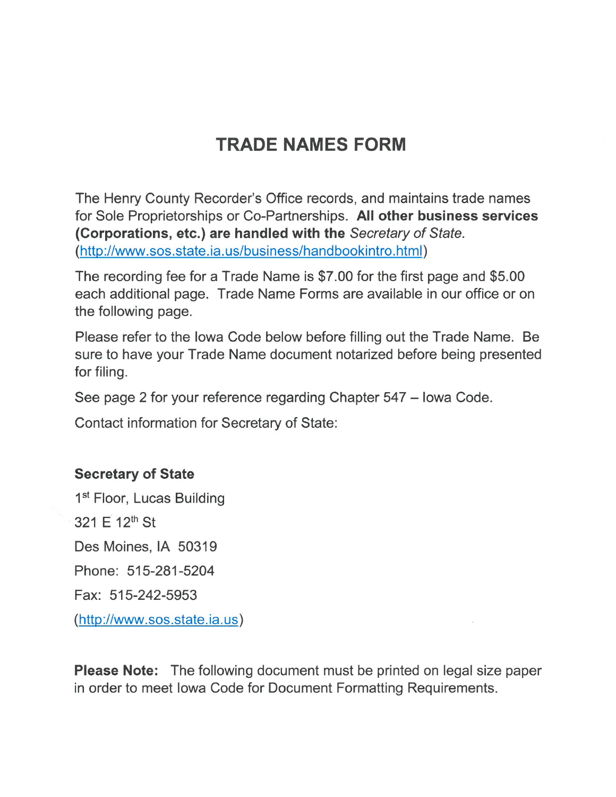## **TRADE NAMES FORM**

The Henry County Recorder's Office records, and maintains trade names for Sole Proprietorships or Co-Partnerships. All other business services (Corporations, etc.) are handled with the Secretary of State. (http://www.sos.state.ia.us/business/handbookintro.html)

The recording fee for a Trade Name is \$7.00 for the first page and \$5.00 each additional page. Trade Name Forms are available in our office or on the following page.

Please refer to the lowa Code below before filling out the Trade Name. Be sure to have your Trade Name document notarized before being presented for filing.

See page 2 for your reference regarding Chapter 547 - Iowa Code.

**Contact information for Secretary of State:** 

## **Secretary of State**

1<sup>st</sup> Floor, Lucas Building 321 F 12th St Des Moines, IA 50319 Phone: 515-281-5204 Fax: 515-242-5953 (http://www.sos.state.ia.us)

**Please Note:** The following document must be printed on legal size paper in order to meet lowa Code for Document Formatting Requirements.